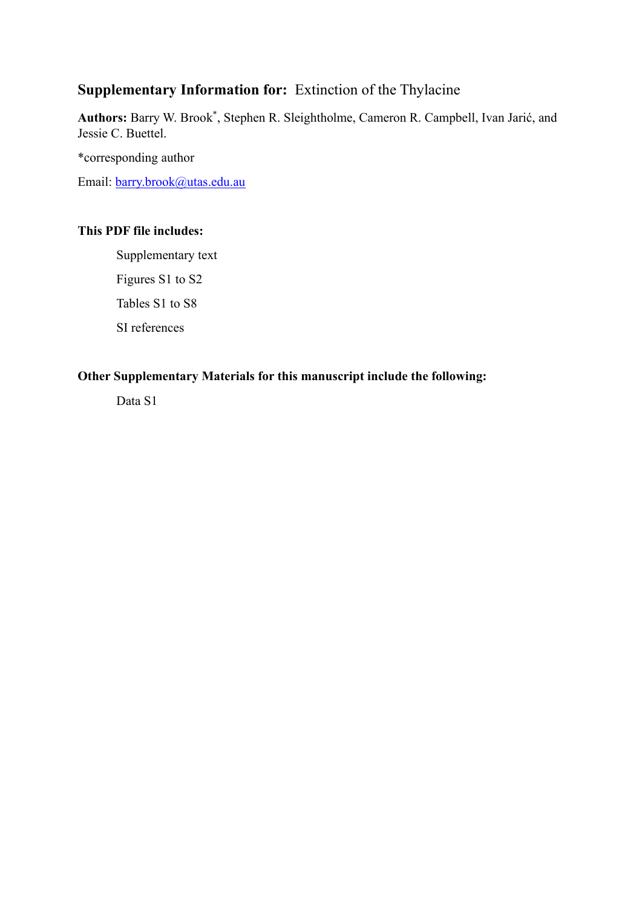## **Supplementary Information for:** Extinction of the Thylacine

**Authors:** Barry W. Brook\* , Stephen R. Sleightholme, Cameron R. Campbell, Ivan Jarić, and Jessie C. Buettel.

\*corresponding author

Email: [barry.brook@utas.edu.au](mailto:barry.brook@utas.edu.au)

## **This PDF file includes:**

Supplementary text Figures S1 to S2 Tables S1 to S8 SI references

### **Other Supplementary Materials for this manuscript include the following:**

Data S1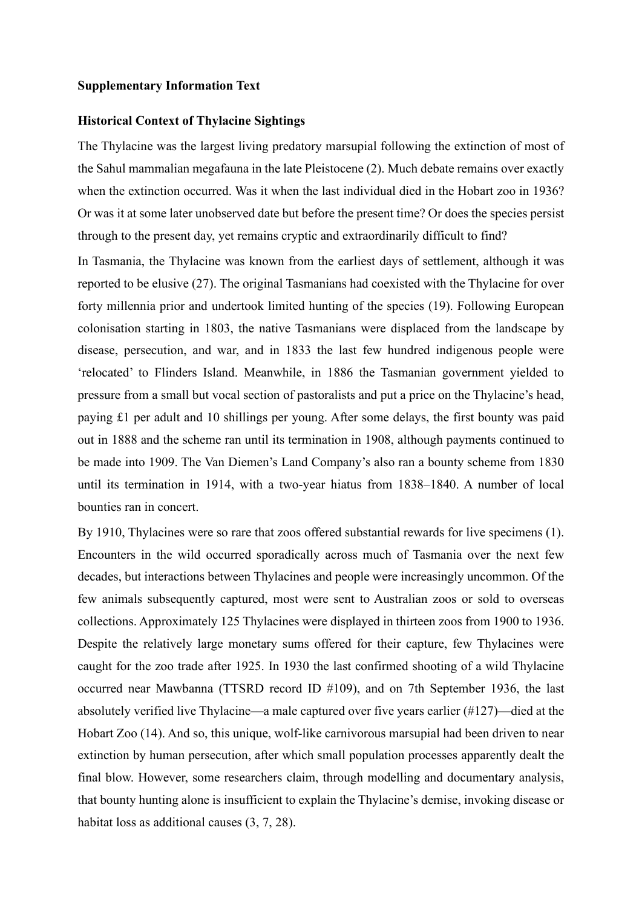#### **Supplementary Information Text**

#### **Historical Context of Thylacine Sightings**

The Thylacine was the largest living predatory marsupial following the extinction of most of the Sahul mammalian megafauna in the late Pleistocene (2). Much debate remains over exactly when the extinction occurred. Was it when the last individual died in the Hobart zoo in 1936? Or was it at some later unobserved date but before the present time? Or does the species persist through to the present day, yet remains cryptic and extraordinarily difficult to find?

In Tasmania, the Thylacine was known from the earliest days of settlement, although it was reported to be elusive (27). The original Tasmanians had coexisted with the Thylacine for over forty millennia prior and undertook limited hunting of the species (19). Following European colonisation starting in 1803, the native Tasmanians were displaced from the landscape by disease, persecution, and war, and in 1833 the last few hundred indigenous people were 'relocated' to Flinders Island. Meanwhile, in 1886 the Tasmanian government yielded to pressure from a small but vocal section of pastoralists and put a price on the Thylacine's head, paying £1 per adult and 10 shillings per young. After some delays, the first bounty was paid out in 1888 and the scheme ran until its termination in 1908, although payments continued to be made into 1909. The Van Diemen's Land Company's also ran a bounty scheme from 1830 until its termination in 1914, with a two-year hiatus from 1838–1840. A number of local bounties ran in concert.

By 1910, Thylacines were so rare that zoos offered substantial rewards for live specimens (1). Encounters in the wild occurred sporadically across much of Tasmania over the next few decades, but interactions between Thylacines and people were increasingly uncommon. Of the few animals subsequently captured, most were sent to Australian zoos or sold to overseas collections. Approximately 125 Thylacines were displayed in thirteen zoos from 1900 to 1936. Despite the relatively large monetary sums offered for their capture, few Thylacines were caught for the zoo trade after 1925. In 1930 the last confirmed shooting of a wild Thylacine occurred near Mawbanna (TTSRD record ID #109), and on 7th September 1936, the last absolutely verified live Thylacine—a male captured over five years earlier (#127)—died at the Hobart Zoo (14). And so, this unique, wolf-like carnivorous marsupial had been driven to near extinction by human persecution, after which small population processes apparently dealt the final blow. However, some researchers claim, through modelling and documentary analysis, that bounty hunting alone is insufficient to explain the Thylacine's demise, invoking disease or habitat loss as additional causes (3, 7, 28).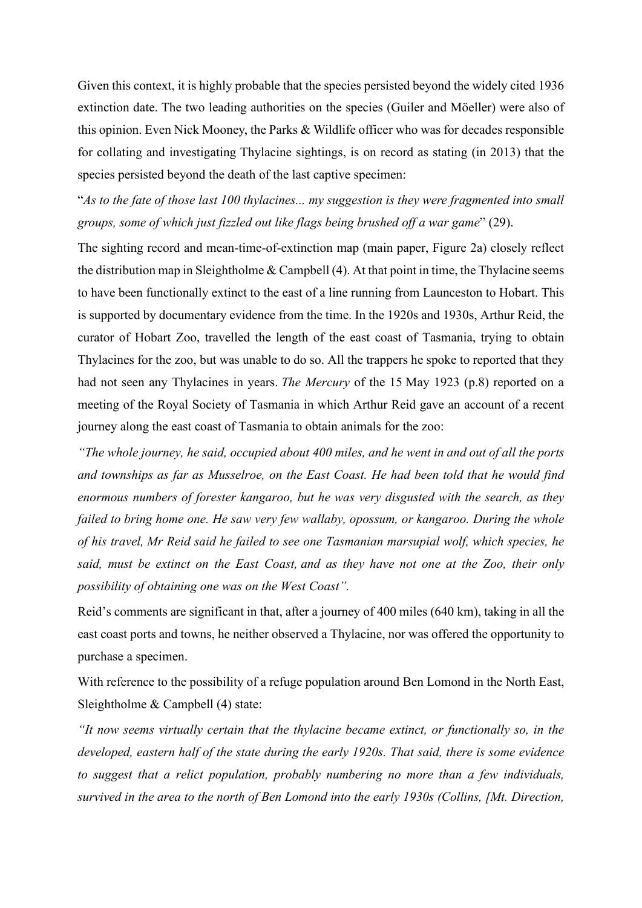Given this context, it is highly probable that the species persisted beyond the widely cited 1936 extinction date. The two leading authorities on the species (Guiler and Möeller) were also of this opinion. Even Nick Mooney, the Parks & Wildlife officer who was for decades responsible for collating and investigating Thylacine sightings, is on record as stating (in 2013) that the species persisted beyond the death of the last captive specimen:

"*As to the fate of those last 100 thylacines... my suggestion is they were fragmented into small groups, some of which just fizzled out like flags being brushed off a war game*" (29).

The sighting record and mean-time-of-extinction map (main paper, Figure 2a) closely reflect the distribution map in Sleightholme  $& \text{Campbell (4)}$ . At that point in time, the Thylacine seems to have been functionally extinct to the east of a line running from Launceston to Hobart. This is supported by documentary evidence from the time. In the 1920s and 1930s, Arthur Reid, the curator of Hobart Zoo, travelled the length of the east coast of Tasmania, trying to obtain Thylacines for the zoo, but was unable to do so. All the trappers he spoke to reported that they had not seen any Thylacines in years. *The Mercury* of the 15 May 1923 (p.8) reported on a meeting of the Royal Society of Tasmania in which Arthur Reid gave an account of a recent journey along the east coast of Tasmania to obtain animals for the zoo:

*"The whole journey, he said, occupied about 400 miles, and he went in and out of all the ports and townships as far as Musselroe, on the East Coast. He had been told that he would find enormous numbers of forester kangaroo, but he was very disgusted with the search, as they failed to bring home one. He saw very few wallaby, opossum, or kangaroo. During the whole of his travel, Mr Reid said he failed to see one Tasmanian marsupial wolf, which species, he said, must be extinct on the East Coast, and as they have not one at the Zoo, their only possibility of obtaining one was on the West Coast".*

Reid's comments are significant in that, after a journey of 400 miles (640 km), taking in all the east coast ports and towns, he neither observed a Thylacine, nor was offered the opportunity to purchase a specimen.

With reference to the possibility of a refuge population around Ben Lomond in the North East, Sleightholme & Campbell (4) state:

*"It now seems virtually certain that the thylacine became extinct, or functionally so, in the developed, eastern half of the state during the early 1920s. That said, there is some evidence to suggest that a relict population, probably numbering no more than a few individuals, survived in the area to the north of Ben Lomond into the early 1930s (Collins, [Mt. Direction,*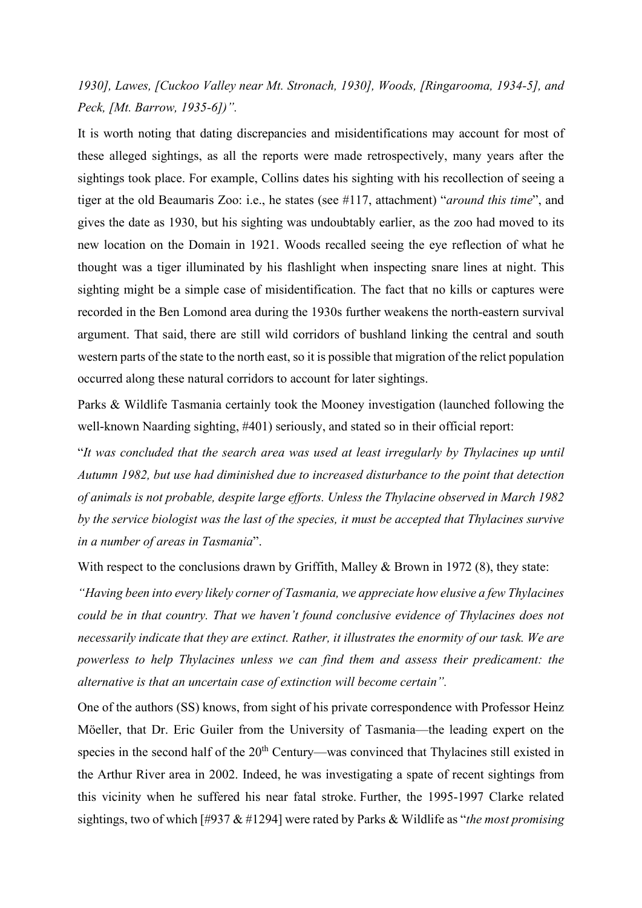# *1930], Lawes, [Cuckoo Valley near Mt. Stronach, 1930], Woods, [Ringarooma, 1934-5], and Peck, [Mt. Barrow, 1935-6])".*

It is worth noting that dating discrepancies and misidentifications may account for most of these alleged sightings, as all the reports were made retrospectively, many years after the sightings took place. For example, Collins dates his sighting with his recollection of seeing a tiger at the old Beaumaris Zoo: i.e., he states (see #117, attachment) "*around this time*", and gives the date as 1930, but his sighting was undoubtably earlier, as the zoo had moved to its new location on the Domain in 1921. Woods recalled seeing the eye reflection of what he thought was a tiger illuminated by his flashlight when inspecting snare lines at night. This sighting might be a simple case of misidentification. The fact that no kills or captures were recorded in the Ben Lomond area during the 1930s further weakens the north-eastern survival argument. That said, there are still wild corridors of bushland linking the central and south western parts of the state to the north east, so it is possible that migration of the relict population occurred along these natural corridors to account for later sightings.

Parks & Wildlife Tasmania certainly took the Mooney investigation (launched following the well-known Naarding sighting, #401) seriously, and stated so in their official report:

"*It was concluded that the search area was used at least irregularly by Thylacines up until Autumn 1982, but use had diminished due to increased disturbance to the point that detection of animals is not probable, despite large efforts. Unless the Thylacine observed in March 1982 by the service biologist was the last of the species, it must be accepted that Thylacines survive in a number of areas in Tasmania*".

With respect to the conclusions drawn by Griffith, Malley & Brown in 1972 (8), they state:

*"Having been into every likely corner of Tasmania, we appreciate how elusive a few Thylacines could be in that country. That we haven't found conclusive evidence of Thylacines does not necessarily indicate that they are extinct. Rather, it illustrates the enormity of our task. We are powerless to help Thylacines unless we can find them and assess their predicament: the alternative is that an uncertain case of extinction will become certain".*

One of the authors (SS) knows, from sight of his private correspondence with Professor Heinz Möeller, that Dr. Eric Guiler from the University of Tasmania—the leading expert on the species in the second half of the  $20<sup>th</sup>$  Century—was convinced that Thylacines still existed in the Arthur River area in 2002. Indeed, he was investigating a spate of recent sightings from this vicinity when he suffered his near fatal stroke. Further, the 1995-1997 Clarke related sightings, two of which [#937 & #1294] were rated by Parks & Wildlife as "*the most promising*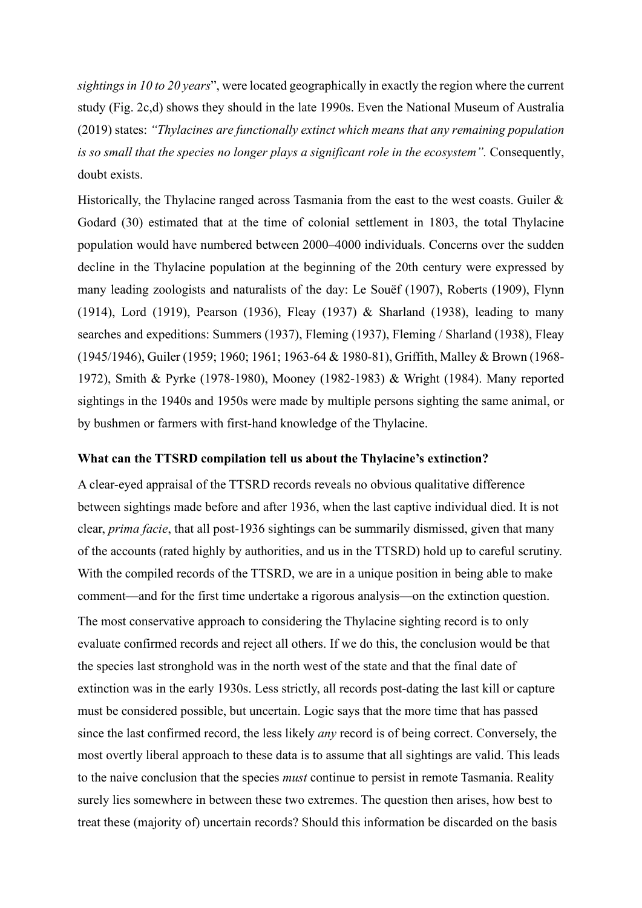*sightings in 10 to 20 years*", were located geographically in exactly the region where the current study (Fig. 2c,d) shows they should in the late 1990s. Even the National Museum of Australia (2019) states: *"Thylacines are functionally extinct which means that any remaining population is so small that the species no longer plays a significant role in the ecosystem".* Consequently, doubt exists.

Historically, the Thylacine ranged across Tasmania from the east to the west coasts. Guiler  $\&$ Godard (30) estimated that at the time of colonial settlement in 1803, the total Thylacine population would have numbered between 2000–4000 individuals. Concerns over the sudden decline in the Thylacine population at the beginning of the 20th century were expressed by many leading zoologists and naturalists of the day: Le Souëf (1907), Roberts (1909), Flynn (1914), Lord (1919), Pearson (1936), Fleay (1937) & Sharland (1938), leading to many searches and expeditions: Summers (1937), Fleming (1937), Fleming / Sharland (1938), Fleay (1945/1946), Guiler (1959; 1960; 1961; 1963-64 & 1980-81), Griffith, Malley & Brown (1968- 1972), Smith & Pyrke (1978-1980), Mooney (1982-1983) & Wright (1984). Many reported sightings in the 1940s and 1950s were made by multiple persons sighting the same animal, or by bushmen or farmers with first-hand knowledge of the Thylacine.

#### **What can the TTSRD compilation tell us about the Thylacine's extinction?**

A clear-eyed appraisal of the TTSRD records reveals no obvious qualitative difference between sightings made before and after 1936, when the last captive individual died. It is not clear, *prima facie*, that all post-1936 sightings can be summarily dismissed, given that many of the accounts (rated highly by authorities, and us in the TTSRD) hold up to careful scrutiny. With the compiled records of the TTSRD, we are in a unique position in being able to make comment—and for the first time undertake a rigorous analysis—on the extinction question. The most conservative approach to considering the Thylacine sighting record is to only evaluate confirmed records and reject all others. If we do this, the conclusion would be that the species last stronghold was in the north west of the state and that the final date of extinction was in the early 1930s. Less strictly, all records post-dating the last kill or capture must be considered possible, but uncertain. Logic says that the more time that has passed since the last confirmed record, the less likely *any* record is of being correct. Conversely, the most overtly liberal approach to these data is to assume that all sightings are valid. This leads to the naive conclusion that the species *must* continue to persist in remote Tasmania. Reality surely lies somewhere in between these two extremes. The question then arises, how best to treat these (majority of) uncertain records? Should this information be discarded on the basis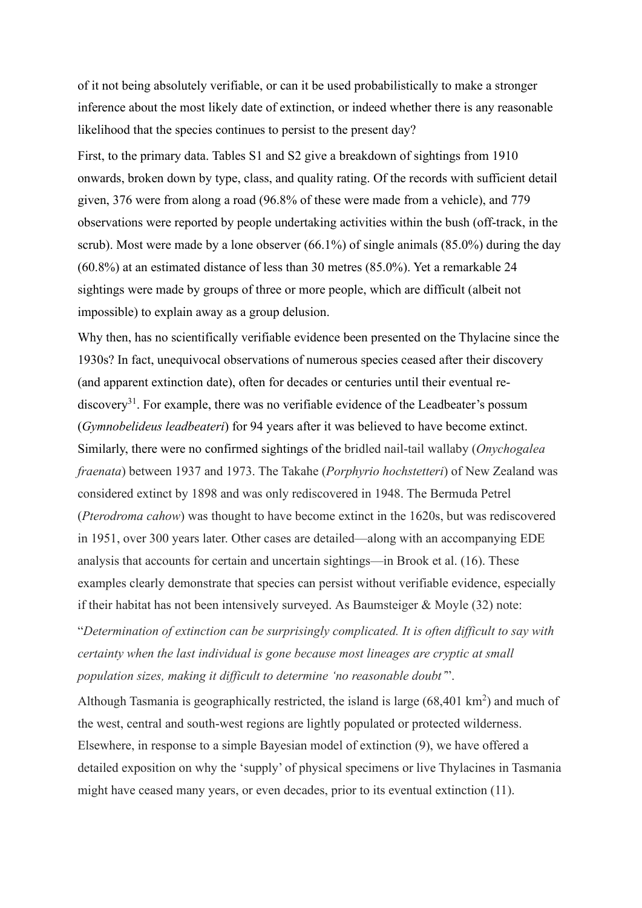of it not being absolutely verifiable, or can it be used probabilistically to make a stronger inference about the most likely date of extinction, or indeed whether there is any reasonable likelihood that the species continues to persist to the present day?

First, to the primary data. Tables S1 and S2 give a breakdown of sightings from 1910 onwards, broken down by type, class, and quality rating. Of the records with sufficient detail given, 376 were from along a road (96.8% of these were made from a vehicle), and 779 observations were reported by people undertaking activities within the bush (off-track, in the scrub). Most were made by a lone observer (66.1%) of single animals (85.0%) during the day (60.8%) at an estimated distance of less than 30 metres (85.0%). Yet a remarkable 24 sightings were made by groups of three or more people, which are difficult (albeit not impossible) to explain away as a group delusion.

Why then, has no scientifically verifiable evidence been presented on the Thylacine since the 1930s? In fact, unequivocal observations of numerous species ceased after their discovery (and apparent extinction date), often for decades or centuries until their eventual rediscovery<sup>31</sup>. For example, there was no verifiable evidence of the Leadbeater's possum (*Gymnobelideus leadbeateri*) for 94 years after it was believed to have become extinct. Similarly, there were no confirmed sightings of the bridled nail-tail wallaby (*Onychogalea fraenata*) between 1937 and 1973. The Takahe (*Porphyrio hochstetteri*) of New Zealand was considered extinct by 1898 and was only rediscovered in 1948. The Bermuda Petrel (*Pterodroma cahow*) was thought to have become extinct in the 1620s, but was rediscovered in 1951, over 300 years later. Other cases are detailed—along with an accompanying EDE analysis that accounts for certain and uncertain sightings—in Brook et al. (16). These examples clearly demonstrate that species can persist without verifiable evidence, especially if their habitat has not been intensively surveyed. As Baumsteiger & Moyle (32) note:

"*Determination of extinction can be surprisingly complicated. It is often difficult to say with certainty when the last individual is gone because most lineages are cryptic at small population sizes, making it difficult to determine 'no reasonable doubt'*".

Although Tasmania is geographically restricted, the island is large  $(68,401 \text{ km}^2)$  and much of the west, central and south-west regions are lightly populated or protected wilderness. Elsewhere, in response to a simple Bayesian model of extinction (9), we have offered a detailed exposition on why the 'supply' of physical specimens or live Thylacines in Tasmania might have ceased many years, or even decades, prior to its eventual extinction (11).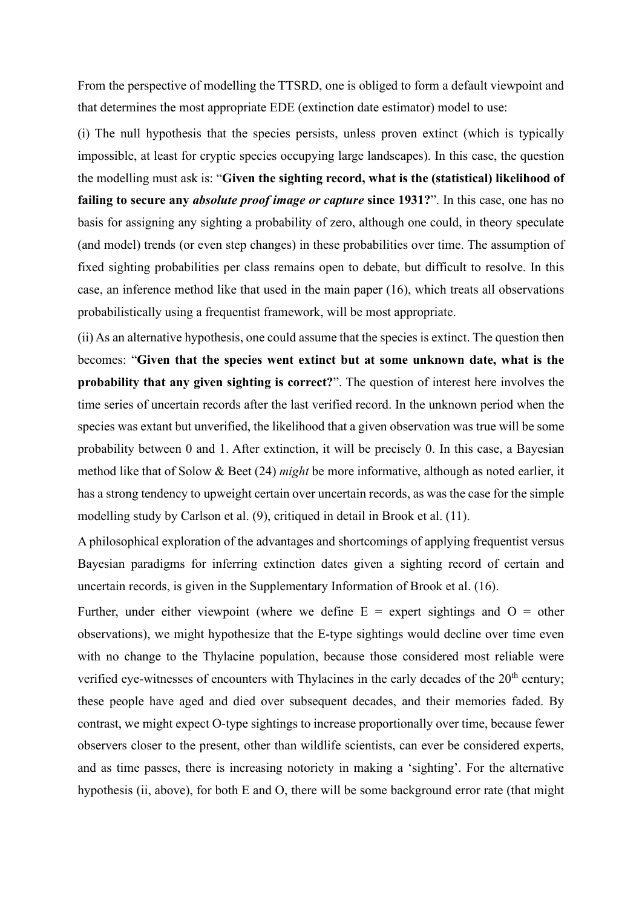From the perspective of modelling the TTSRD, one is obliged to form a default viewpoint and that determines the most appropriate EDE (extinction date estimator) model to use:

(i) The null hypothesis that the species persists, unless proven extinct (which is typically impossible, at least for cryptic species occupying large landscapes). In this case, the question the modelling must ask is: "**Given the sighting record, what is the (statistical) likelihood of failing to secure any** *absolute proof image or capture* **since 1931?**". In this case, one has no basis for assigning any sighting a probability of zero, although one could, in theory speculate (and model) trends (or even step changes) in these probabilities over time. The assumption of fixed sighting probabilities per class remains open to debate, but difficult to resolve. In this case, an inference method like that used in the main paper (16), which treats all observations probabilistically using a frequentist framework, will be most appropriate.

(ii) As an alternative hypothesis, one could assume that the species is extinct. The question then becomes: "**Given that the species went extinct but at some unknown date, what is the probability that any given sighting is correct?**". The question of interest here involves the time series of uncertain records after the last verified record. In the unknown period when the species was extant but unverified, the likelihood that a given observation was true will be some probability between 0 and 1. After extinction, it will be precisely 0. In this case, a Bayesian method like that of Solow & Beet (24) *might* be more informative, although as noted earlier, it has a strong tendency to upweight certain over uncertain records, as was the case for the simple modelling study by Carlson et al. (9), critiqued in detail in Brook et al. (11).

A philosophical exploration of the advantages and shortcomings of applying frequentist versus Bayesian paradigms for inferring extinction dates given a sighting record of certain and uncertain records, is given in the Supplementary Information of Brook et al. (16).

Further, under either viewpoint (where we define  $E =$  expert sightings and  $O =$  other observations), we might hypothesize that the E-type sightings would decline over time even with no change to the Thylacine population, because those considered most reliable were verified eye-witnesses of encounters with Thylacines in the early decades of the  $20<sup>th</sup>$  century; these people have aged and died over subsequent decades, and their memories faded. By contrast, we might expect O-type sightings to increase proportionally over time, because fewer observers closer to the present, other than wildlife scientists, can ever be considered experts, and as time passes, there is increasing notoriety in making a 'sighting'. For the alternative hypothesis (ii, above), for both E and O, there will be some background error rate (that might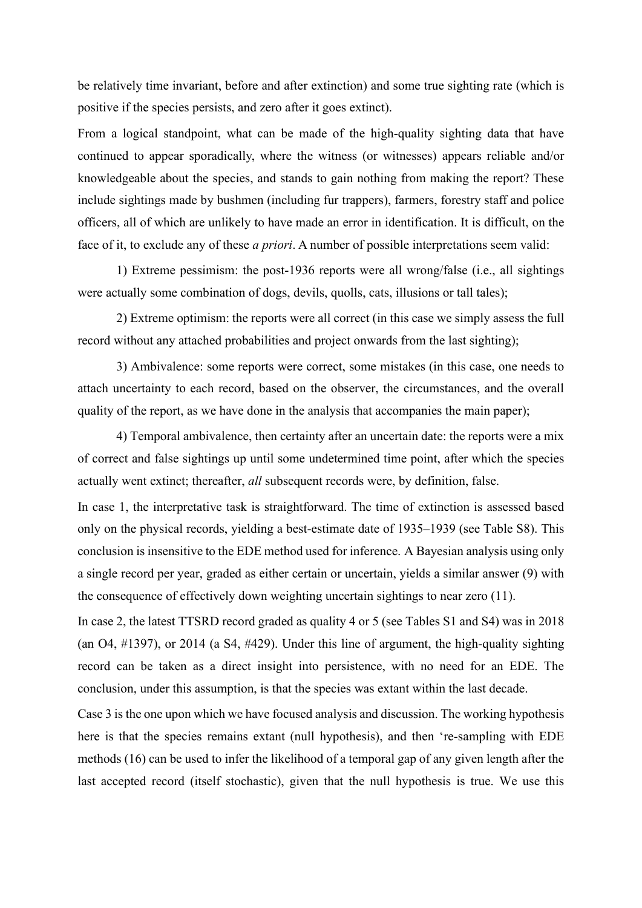be relatively time invariant, before and after extinction) and some true sighting rate (which is positive if the species persists, and zero after it goes extinct).

From a logical standpoint, what can be made of the high-quality sighting data that have continued to appear sporadically, where the witness (or witnesses) appears reliable and/or knowledgeable about the species, and stands to gain nothing from making the report? These include sightings made by bushmen (including fur trappers), farmers, forestry staff and police officers, all of which are unlikely to have made an error in identification. It is difficult, on the face of it, to exclude any of these *a priori*. A number of possible interpretations seem valid:

1) Extreme pessimism: the post-1936 reports were all wrong/false (i.e., all sightings were actually some combination of dogs, devils, quolls, cats, illusions or tall tales);

2) Extreme optimism: the reports were all correct (in this case we simply assess the full record without any attached probabilities and project onwards from the last sighting);

3) Ambivalence: some reports were correct, some mistakes (in this case, one needs to attach uncertainty to each record, based on the observer, the circumstances, and the overall quality of the report, as we have done in the analysis that accompanies the main paper);

4) Temporal ambivalence, then certainty after an uncertain date: the reports were a mix of correct and false sightings up until some undetermined time point, after which the species actually went extinct; thereafter, *all* subsequent records were, by definition, false.

In case 1, the interpretative task is straightforward. The time of extinction is assessed based only on the physical records, yielding a best-estimate date of 1935–1939 (see Table S8). This conclusion is insensitive to the EDE method used for inference. A Bayesian analysis using only a single record per year, graded as either certain or uncertain, yields a similar answer (9) with the consequence of effectively down weighting uncertain sightings to near zero (11).

In case 2, the latest TTSRD record graded as quality 4 or 5 (see Tables S1 and S4) was in 2018 (an O4, #1397), or 2014 (a S4, #429). Under this line of argument, the high-quality sighting record can be taken as a direct insight into persistence, with no need for an EDE. The conclusion, under this assumption, is that the species was extant within the last decade.

Case 3 is the one upon which we have focused analysis and discussion. The working hypothesis here is that the species remains extant (null hypothesis), and then 're-sampling with EDE methods (16) can be used to infer the likelihood of a temporal gap of any given length after the last accepted record (itself stochastic), given that the null hypothesis is true. We use this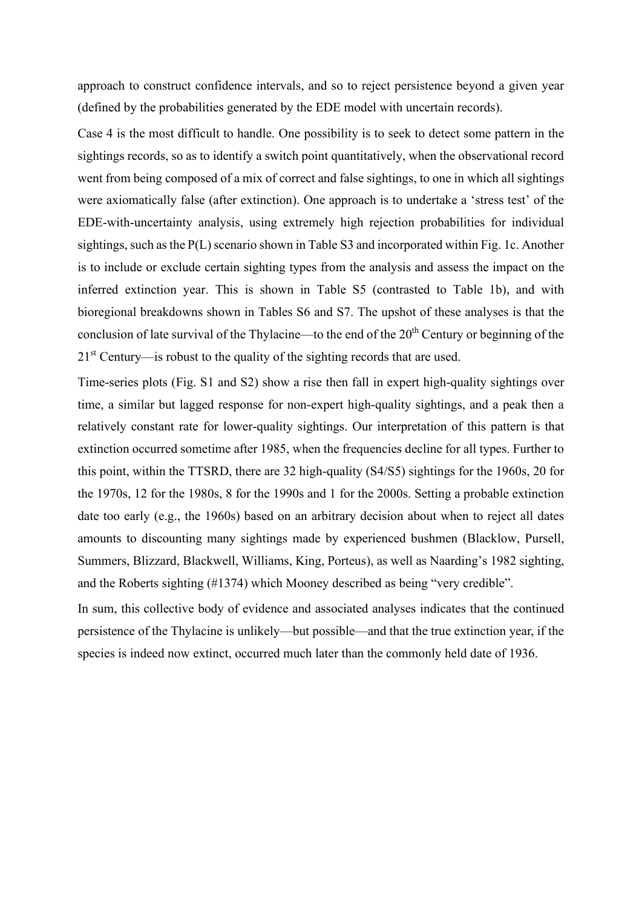approach to construct confidence intervals, and so to reject persistence beyond a given year (defined by the probabilities generated by the EDE model with uncertain records).

Case 4 is the most difficult to handle. One possibility is to seek to detect some pattern in the sightings records, so as to identify a switch point quantitatively, when the observational record went from being composed of a mix of correct and false sightings, to one in which all sightings were axiomatically false (after extinction). One approach is to undertake a 'stress test' of the EDE-with-uncertainty analysis, using extremely high rejection probabilities for individual sightings, such as the P(L) scenario shown in Table S3 and incorporated within Fig. 1c. Another is to include or exclude certain sighting types from the analysis and assess the impact on the inferred extinction year. This is shown in Table S5 (contrasted to Table 1b), and with bioregional breakdowns shown in Tables S6 and S7. The upshot of these analyses is that the conclusion of late survival of the Thylacine—to the end of the 20<sup>th</sup> Century or beginning of the  $21<sup>st</sup>$  Century—is robust to the quality of the sighting records that are used.

Time-series plots (Fig. S1 and S2) show a rise then fall in expert high-quality sightings over time, a similar but lagged response for non-expert high-quality sightings, and a peak then a relatively constant rate for lower-quality sightings. Our interpretation of this pattern is that extinction occurred sometime after 1985, when the frequencies decline for all types. Further to this point, within the TTSRD, there are 32 high-quality (S4/S5) sightings for the 1960s, 20 for the 1970s, 12 for the 1980s, 8 for the 1990s and 1 for the 2000s. Setting a probable extinction date too early (e.g., the 1960s) based on an arbitrary decision about when to reject all dates amounts to discounting many sightings made by experienced bushmen (Blacklow, Pursell, Summers, Blizzard, Blackwell, Williams, King, Porteus), as well as Naarding's 1982 sighting, and the Roberts sighting (#1374) which Mooney described as being "very credible".

In sum, this collective body of evidence and associated analyses indicates that the continued persistence of the Thylacine is unlikely—but possible—and that the true extinction year, if the species is indeed now extinct, occurred much later than the commonly held date of 1936.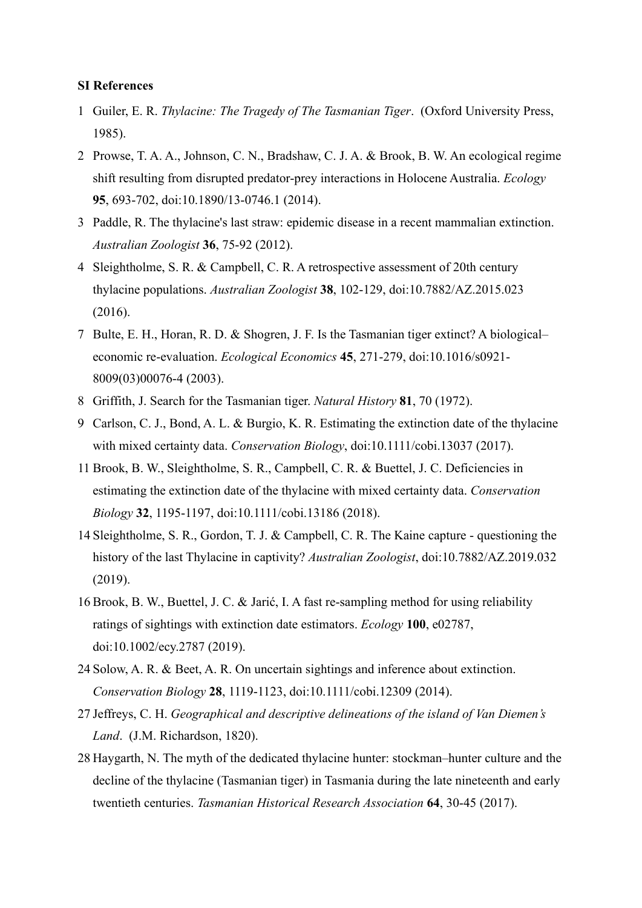#### **SI References**

- 1 Guiler, E. R. *Thylacine: The Tragedy of The Tasmanian Tiger*. (Oxford University Press, 1985).
- 2 Prowse, T. A. A., Johnson, C. N., Bradshaw, C. J. A. & Brook, B. W. An ecological regime shift resulting from disrupted predator-prey interactions in Holocene Australia. *Ecology* **95**, 693-702, doi:10.1890/13-0746.1 (2014).
- 3 Paddle, R. The thylacine's last straw: epidemic disease in a recent mammalian extinction. *Australian Zoologist* **36**, 75-92 (2012).
- 4 Sleightholme, S. R. & Campbell, C. R. A retrospective assessment of 20th century thylacine populations. *Australian Zoologist* **38**, 102-129, doi:10.7882/AZ.2015.023 (2016).
- 7 Bulte, E. H., Horan, R. D. & Shogren, J. F. Is the Tasmanian tiger extinct? A biological– economic re-evaluation. *Ecological Economics* **45**, 271-279, doi:10.1016/s0921- 8009(03)00076-4 (2003).
- 8 Griffith, J. Search for the Tasmanian tiger. *Natural History* **81**, 70 (1972).
- 9 Carlson, C. J., Bond, A. L. & Burgio, K. R. Estimating the extinction date of the thylacine with mixed certainty data. *Conservation Biology*, doi:10.1111/cobi.13037 (2017).
- 11 Brook, B. W., Sleightholme, S. R., Campbell, C. R. & Buettel, J. C. Deficiencies in estimating the extinction date of the thylacine with mixed certainty data. *Conservation Biology* **32**, 1195-1197, doi:10.1111/cobi.13186 (2018).
- 14 Sleightholme, S. R., Gordon, T. J. & Campbell, C. R. The Kaine capture questioning the history of the last Thylacine in captivity? *Australian Zoologist*, doi:10.7882/AZ.2019.032 (2019).
- 16 Brook, B. W., Buettel, J. C. & Jarić, I. A fast re-sampling method for using reliability ratings of sightings with extinction date estimators. *Ecology* **100**, e02787, doi:10.1002/ecy.2787 (2019).
- 24 Solow, A. R. & Beet, A. R. On uncertain sightings and inference about extinction. *Conservation Biology* **28**, 1119-1123, doi:10.1111/cobi.12309 (2014).
- 27 Jeffreys, C. H. *Geographical and descriptive delineations of the island of Van Diemen's Land*. (J.M. Richardson, 1820).
- 28 Haygarth, N. The myth of the dedicated thylacine hunter: stockman–hunter culture and the decline of the thylacine (Tasmanian tiger) in Tasmania during the late nineteenth and early twentieth centuries. *Tasmanian Historical Research Association* **64**, 30-45 (2017).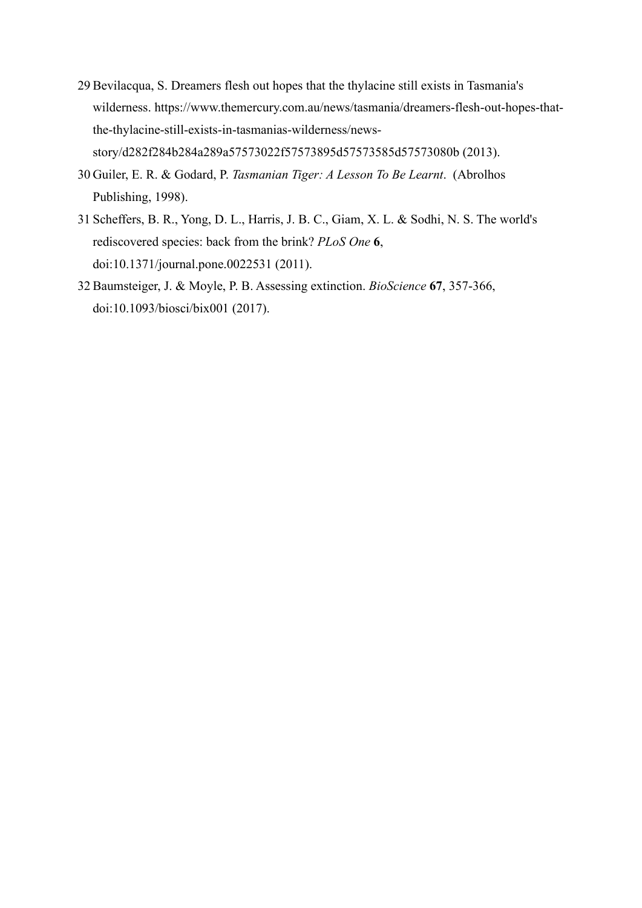- 29 Bevilacqua, S. Dreamers flesh out hopes that the thylacine still exists in Tasmania's wilderness. https://www.themercury.com.au/news/tasmania/dreamers-flesh-out-hopes-thatthe-thylacine-still-exists-in-tasmanias-wilderness/newsstory/d282f284b284a289a57573022f57573895d57573585d57573080b (2013).
- 30 Guiler, E. R. & Godard, P. *Tasmanian Tiger: A Lesson To Be Learnt*. (Abrolhos Publishing, 1998).
- 31 Scheffers, B. R., Yong, D. L., Harris, J. B. C., Giam, X. L. & Sodhi, N. S. The world's rediscovered species: back from the brink? *PLoS One* **6**, doi:10.1371/journal.pone.0022531 (2011).
- 32 Baumsteiger, J. & Moyle, P. B. Assessing extinction. *BioScience* **67**, 357-366, doi:10.1093/biosci/bix001 (2017).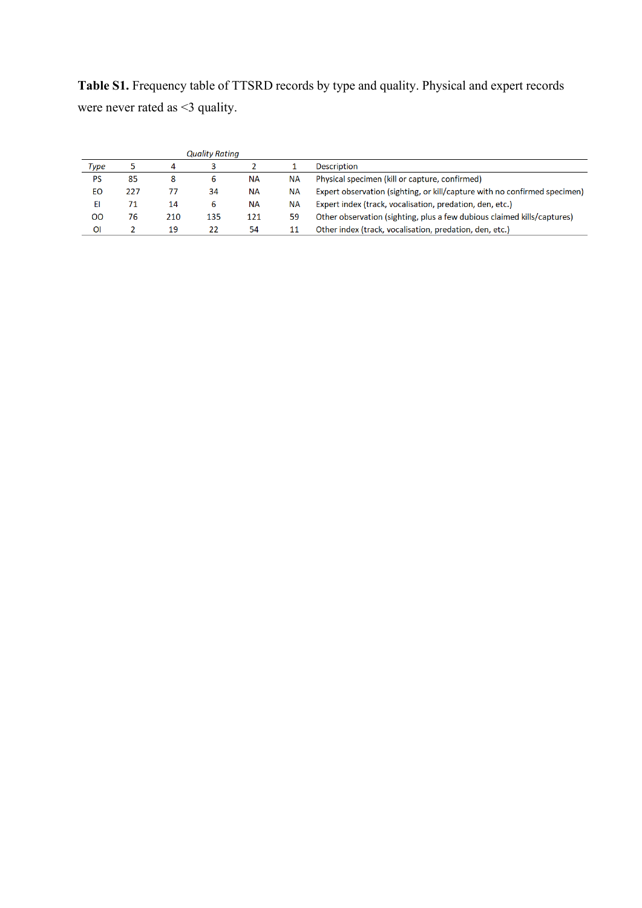**Table S1.** Frequency table of TTSRD records by type and quality. Physical and expert records were never rated as <3 quality.

| <b>Quality Rating</b> |     |     |     |           |           |                                                                           |
|-----------------------|-----|-----|-----|-----------|-----------|---------------------------------------------------------------------------|
| Type                  |     | 4   |     |           |           | <b>Description</b>                                                        |
| PS                    | 85  | 8   | 6   | <b>NA</b> | <b>NA</b> | Physical specimen (kill or capture, confirmed)                            |
| EО                    | 227 | 77  | 34  | <b>NA</b> | <b>NA</b> | Expert observation (sighting, or kill/capture with no confirmed specimen) |
| EI                    | 71  | 14  | 6   | NА        | NА        | Expert index (track, vocalisation, predation, den, etc.)                  |
| oo                    | 76  | 210 | 135 | 121       | 59        | Other observation (sighting, plus a few dubious claimed kills/captures)   |
| ΟI                    |     | 19  | 22  | 54        |           | Other index (track, vocalisation, predation, den, etc.)                   |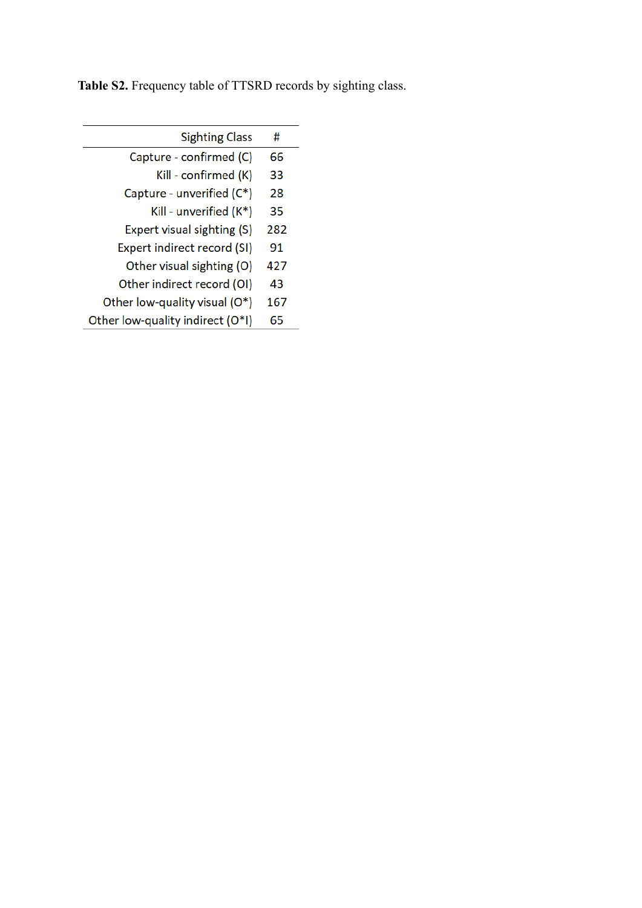**Table S2.** Frequency table of TTSRD records by sighting class.

| <b>Sighting Class</b>            | #   |
|----------------------------------|-----|
| Capture - confirmed (C)          | 66  |
| Kill - confirmed (K)             | 33  |
| Capture - unverified (C*)        | 28  |
| Kill - unverified (K*)           | 35  |
| Expert visual sighting (S)       | 282 |
| Expert indirect record (SI)      | 91  |
| Other visual sighting (O)        | 427 |
| Other indirect record (OI)       | 43  |
| Other low-quality visual (O*)    | 167 |
| Other low-quality indirect (O*I) | 65  |
|                                  |     |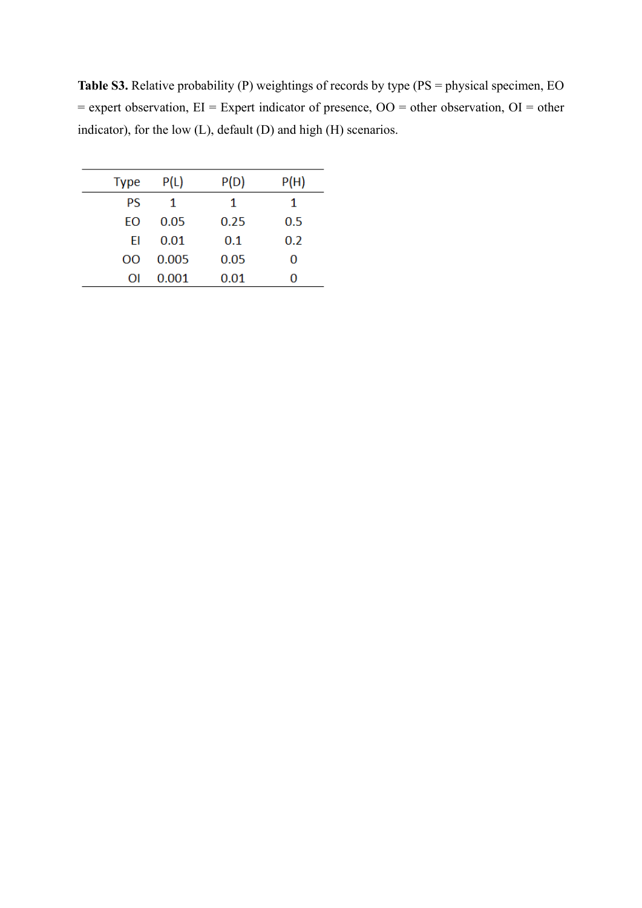**Table S3.** Relative probability (P) weightings of records by type (PS = physical specimen, EO = expert observation, EI = Expert indicator of presence, OO = other observation, OI = other indicator), for the low (L), default (D) and high (H) scenarios.

| Type | P(L)  | P(D) | P(H) |
|------|-------|------|------|
| PS   | 1     | 1    | 1    |
| EO   | 0.05  | 0.25 | 0.5  |
| FI   | 0.01  | 0.1  | 0.2  |
| OΟ   | 0.005 | 0.05 | 0    |
| OI   | 0.001 | 0.01 | 0    |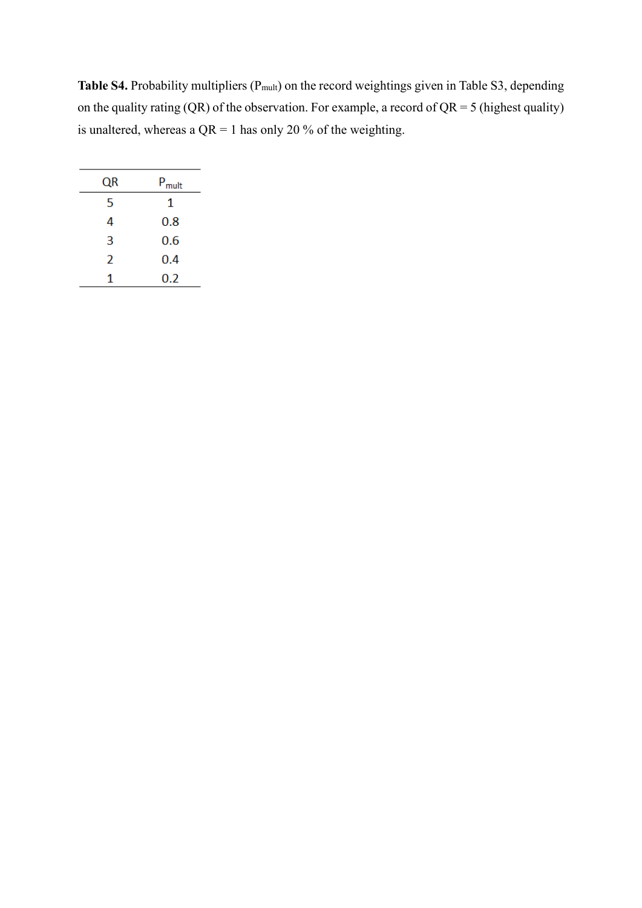Table S4. Probability multipliers (P<sub>mult</sub>) on the record weightings given in Table S3, depending on the quality rating (QR) of the observation. For example, a record of  $QR = 5$  (highest quality) is unaltered, whereas a  $QR = 1$  has only 20 % of the weighting.

| QR | $P_{mult}$ |
|----|------------|
| 5  | 1          |
| 4  | 0.8        |
| 3  | 0.6        |
| 2  | 0.4        |
| 1  | 0.2        |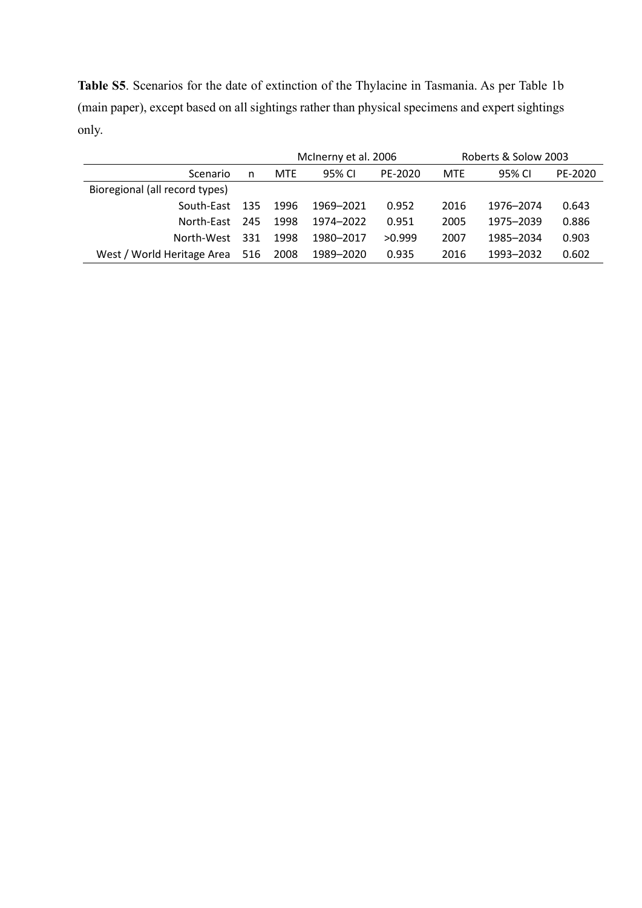**Table S5**. Scenarios for the date of extinction of the Thylacine in Tasmania. As per Table 1b (main paper), except based on all sightings rather than physical specimens and expert sightings only.

|                                |     | McInerny et al. 2006 |           |         | Roberts & Solow 2003 |           |         |
|--------------------------------|-----|----------------------|-----------|---------|----------------------|-----------|---------|
| Scenario                       | n   | <b>MTE</b>           | 95% CI    | PE-2020 | <b>MTE</b>           | 95% CI    | PE-2020 |
| Bioregional (all record types) |     |                      |           |         |                      |           |         |
| South-East 135                 |     | 1996                 | 1969-2021 | 0.952   | 2016                 | 1976-2074 | 0.643   |
| North-East                     | 245 | 1998                 | 1974–2022 | 0.951   | 2005                 | 1975-2039 | 0.886   |
| North-West                     | 331 | 1998                 | 1980-2017 | >0.999  | 2007                 | 1985-2034 | 0.903   |
| West / World Heritage Area 516 |     | 2008                 | 1989–2020 | 0.935   | 2016                 | 1993-2032 | 0.602   |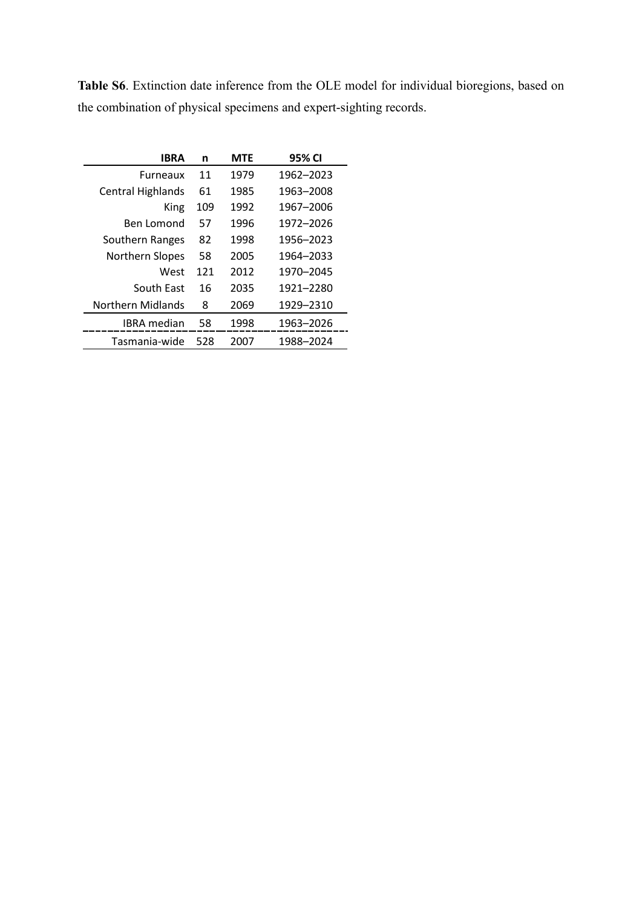**Table S6**. Extinction date inference from the OLE model for individual bioregions, based on the combination of physical specimens and expert-sighting records.

| <b>IBRA</b>              | n   | <b>MTE</b> | 95% CI    |
|--------------------------|-----|------------|-----------|
| <b>Furneaux</b>          | 11  | 1979       | 1962-2023 |
| <b>Central Highlands</b> | 61  | 1985       | 1963-2008 |
| King                     | 109 | 1992       | 1967-2006 |
| Ben Lomond               | 57  | 1996       | 1972-2026 |
| Southern Ranges          | 82  | 1998       | 1956-2023 |
| Northern Slopes          | 58  | 2005       | 1964-2033 |
| West                     | 121 | 2012       | 1970-2045 |
| South East               | 16  | 2035       | 1921-2280 |
| <b>Northern Midlands</b> | 8   | 2069       | 1929-2310 |
| IBRA median              | 58  | 1998       | 1963-2026 |
| Tasmania-wide            | 528 | 2007       | 1988-2024 |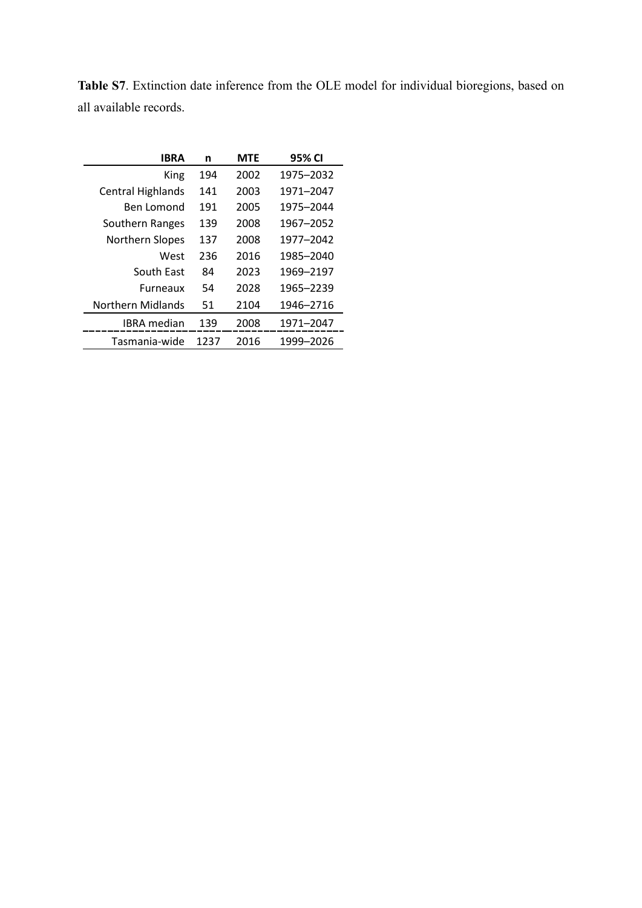| <b>IBRA</b>              | n    | <b>MTE</b> | 95% CI    |
|--------------------------|------|------------|-----------|
| King                     | 194  | 2002       | 1975-2032 |
| <b>Central Highlands</b> | 141  | 2003       | 1971-2047 |
| Ben Lomond               | 191  | 2005       | 1975-2044 |
| Southern Ranges          | 139  | 2008       | 1967-2052 |
| <b>Northern Slopes</b>   | 137  | 2008       | 1977-2042 |
| West                     | 236  | 2016       | 1985-2040 |
| South East               | 84   | 2023       | 1969-2197 |
| <b>Furneaux</b>          | 54   | 2028       | 1965-2239 |
| <b>Northern Midlands</b> | 51   | 2104       | 1946-2716 |
| <b>IBRA</b> median       | 139  | 2008       | 1971-2047 |
| Tasmania-wide            | 1237 | 2016       | 1999-2026 |

**Table S7**. Extinction date inference from the OLE model for individual bioregions, based on all available records.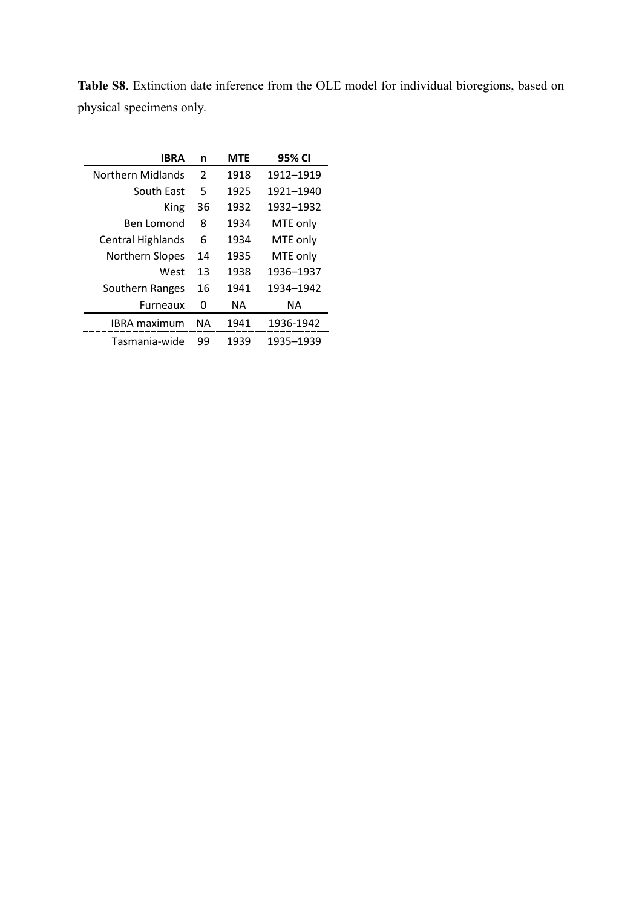| <b>IBRA</b>              | n  | <b>MTE</b> | 95% CI    |
|--------------------------|----|------------|-----------|
| Northern Midlands        | 2  | 1918       | 1912-1919 |
| South East               | 5  | 1925       | 1921-1940 |
| King                     | 36 | 1932       | 1932-1932 |
| <b>Ben Lomond</b>        | 8  | 1934       | MTE only  |
| <b>Central Highlands</b> | 6  | 1934       | MTE only  |
| <b>Northern Slopes</b>   | 14 | 1935       | MTE only  |
| West                     | 13 | 1938       | 1936-1937 |
| Southern Ranges          | 16 | 1941       | 1934-1942 |
| <b>Furneaux</b>          | 0  | NА         | ΝA        |
| <b>IBRA</b> maximum      | ΝA | 1941       | 1936-1942 |
| Tasmania-wide            | 99 | 1939       | 1935–1939 |

**Table S8**. Extinction date inference from the OLE model for individual bioregions, based on physical specimens only.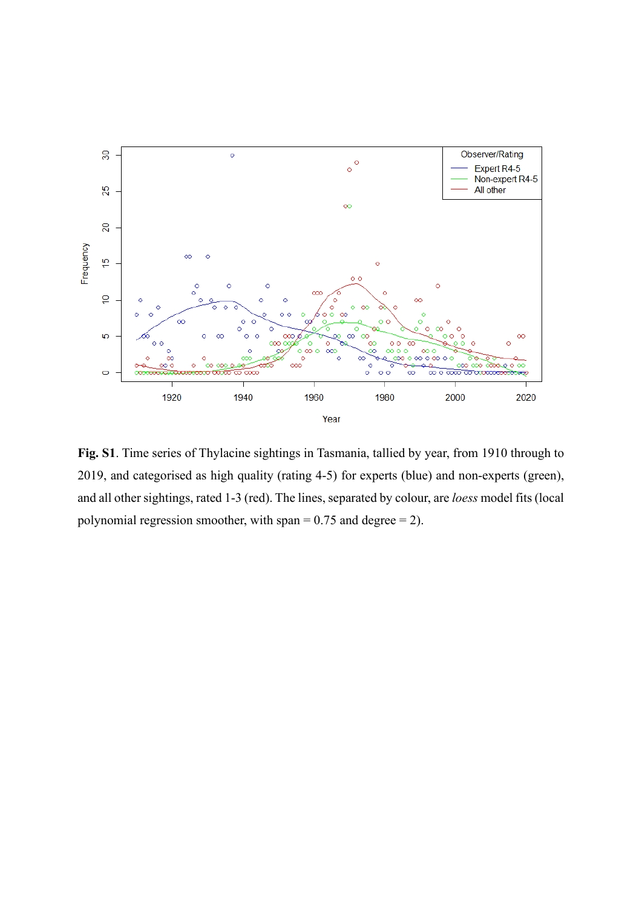

**Fig. S1**. Time series of Thylacine sightings in Tasmania, tallied by year, from 1910 through to 2019, and categorised as high quality (rating 4-5) for experts (blue) and non-experts (green), and all other sightings, rated 1-3 (red). The lines, separated by colour, are *loess* model fits (local polynomial regression smoother, with span =  $0.75$  and degree = 2).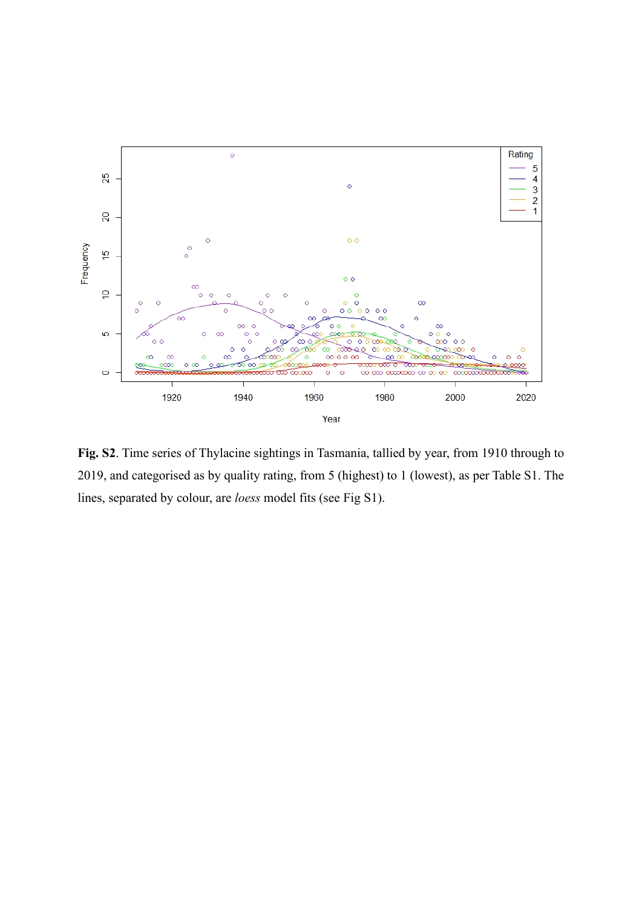

**Fig. S2**. Time series of Thylacine sightings in Tasmania, tallied by year, from 1910 through to 2019, and categorised as by quality rating, from 5 (highest) to 1 (lowest), as per Table S1. The lines, separated by colour, are *loess* model fits (see Fig S1).